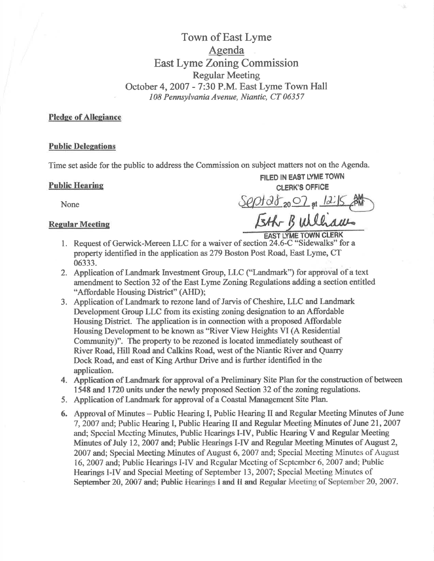Town of East Lyme Agenda East Lyme Zoning Commission Regular Meeting October 4,2007 - 7:30 P.M. East Lyme Town Hall 108 Pennsylvania Avenue, Niantic, CT 06357

# Pledge of Allegiance

### **Public Delegations**

Time set aside for the public to address the Commission on subject matters not on the Agenda.

FILED IN EAST LYMETOWN Public Hearing CLERK's OFFICE

None  $\frac{Spptdt_{20}O}{\sqrt{gpt}}$  at  $12.15$   $\frac{200}{100}$ Regular Meeting States Tath Builliaus

- l. Request of Gerwick-Mereen LLC for a waiver of section 24.6-C "Sidewalks" for <sup>a</sup> property identified in the application as279 Boston Post Road, East Lyme, CT 06333.
- 2. Application of Landmark Investrnent Group, LLC ('Landmark") for approval of a text amendment to Section 32 of the East Lyme Zoning Regulations adding a section entitled "Affordable Housing District" (AHD);
- 3. Application of Landmark to rezone land of Jarvis of Cheshire, LLC and Landmark Development Group LLC from its existing zoning designation to an Affordable Housing District. The application is in connection with a proposed Affordable Housing Development to be known as "River View Heights VI (A Residential Community)". The property to be rezoned is located immediately southeast of River Roa4 Hill Road and Calkins Roa4 west of the Niantic River and Quarry Dock Road, and east of King Arthur Drive and is further identified in the application.
- 4. Application of Landmark for approval of a Preliminary Site Plan for the construction of between 1548 and 1720 units under the newly proposed Section 32 of the zoning regulations.
- 5. Application of Landmark for approval of a Coastal Management Site Plan.
- 6, Approval of Minutes Public Hearing I, Public Hearing II and Regular Meeting Minutes of June 7,2007 and; Public Hearing I, Public Hearing II and Regular Meeting Minutes of June 21,2007 and; Spccial Mccting Minutcs, Public Hcarings I-W, Public Hearing V and Regular Meeting Minutes of July 12, 2007 and; Public Hearings I-IV and Regular Meeting Minutes of August 2, 2007 and; Special Meeting Minutes of August 6, 2007 and; Special Meeting Minutes of August 16, 2007 and; Public Hearings I-IV and Regular Meeting of September 6, 2007 and; Public Hearings I-IV and Special Meeting of September 13, 2007; Special Meeting Minutes of September 20, 2007 and; Public Hearings I and II and Regular Meeting of September 20, 2007.